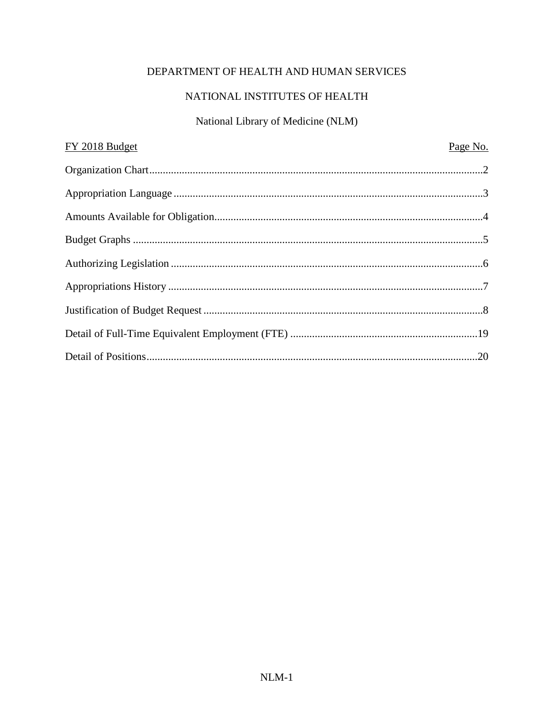# DEPARTMENT OF HEALTH AND HUMAN SERVICES

# NATIONAL INSTITUTES OF HEALTH

# National Library of Medicine (NLM)

| FY 2018 Budget | Page No. |
|----------------|----------|
|                |          |
|                |          |
|                |          |
|                |          |
|                |          |
|                |          |
|                |          |
|                |          |
|                |          |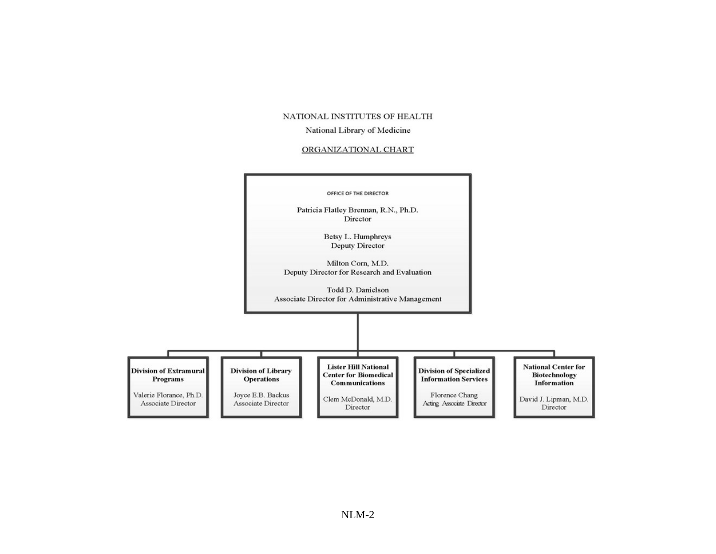#### NATIONAL INSTITUTES OF HEALTH

#### National Library of Medicine

#### ORGANIZATIONAL CHART

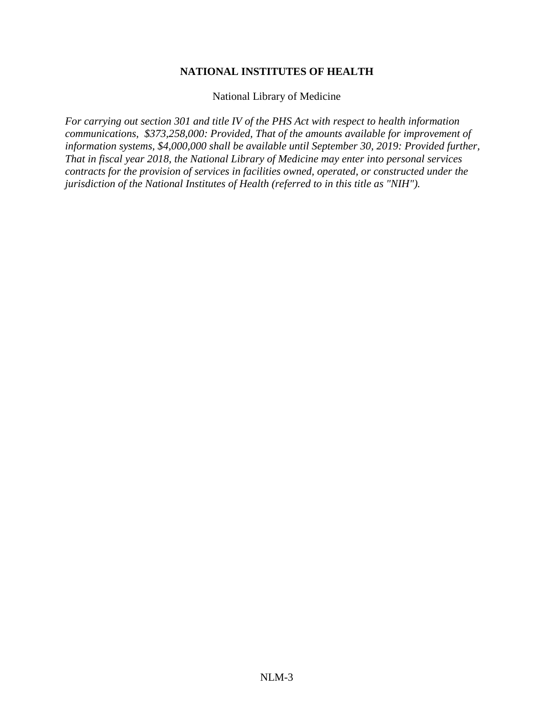### **NATIONAL INSTITUTES OF HEALTH**

National Library of Medicine

*For carrying out section 301 and title IV of the PHS Act with respect to health information communications, \$373,258,000: Provided, That of the amounts available for improvement of information systems, \$4,000,000 shall be available until September 30, 2019: Provided further, That in fiscal year 2018, the National Library of Medicine may enter into personal services contracts for the provision of services in facilities owned, operated, or constructed under the jurisdiction of the National Institutes of Health (referred to in this title as "NIH").*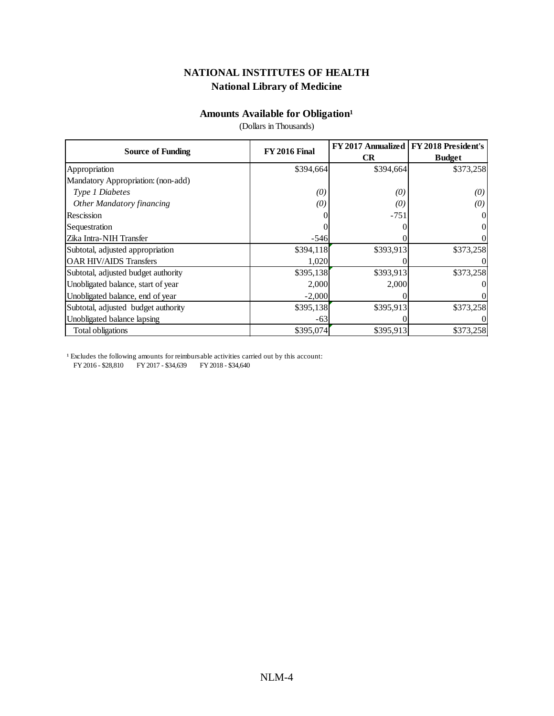### **Amounts Available for Obligation<sup>1</sup>**

(Dollars in Thousands)

| <b>Source of Funding</b>            | <b>FY 2016 Final</b> |           | FY 2017 Annualized   FY 2018 President's |  |
|-------------------------------------|----------------------|-----------|------------------------------------------|--|
|                                     |                      | CR        | <b>Budget</b>                            |  |
| Appropriation                       | \$394,664            | \$394,664 | \$373,258                                |  |
| Mandatory Appropriation: (non-add)  |                      |           |                                          |  |
| Type 1 Diabetes                     | (0)                  | (0)       | (0)                                      |  |
| <b>Other Mandatory financing</b>    | (0)                  | (0)       | (0)                                      |  |
| Rescission                          |                      | $-751$    |                                          |  |
| Sequestration                       |                      |           | $_{0}$                                   |  |
| Zika Intra-NIH Transfer             | $-546$               |           | 0                                        |  |
| Subtotal, adjusted appropriation    | \$394,118            | \$393,913 | \$373,258                                |  |
| <b>OAR HIV/AIDS Transfers</b>       | 1,020                |           | $_{0}$                                   |  |
| Subtotal, adjusted budget authority | \$395,138            | \$393,913 | \$373,258                                |  |
| Unobligated balance, start of year  | 2,000                | 2,000     |                                          |  |
| Unobligated balance, end of year    | $-2,000$             |           |                                          |  |
| Subtotal, adjusted budget authority | \$395,138            | \$395,913 | \$373,258                                |  |
| Unobligated balance lapsing         | $-63$                |           |                                          |  |
| Total obligations                   | \$395,074            | \$395,913 | \$373,258                                |  |

 $^{\rm 1}$  Excludes the following amounts for reimbursable activities carried out by this account: FY 2016 - \$28,810 FY 2017 - \$34,639 FY 2018 - \$34,640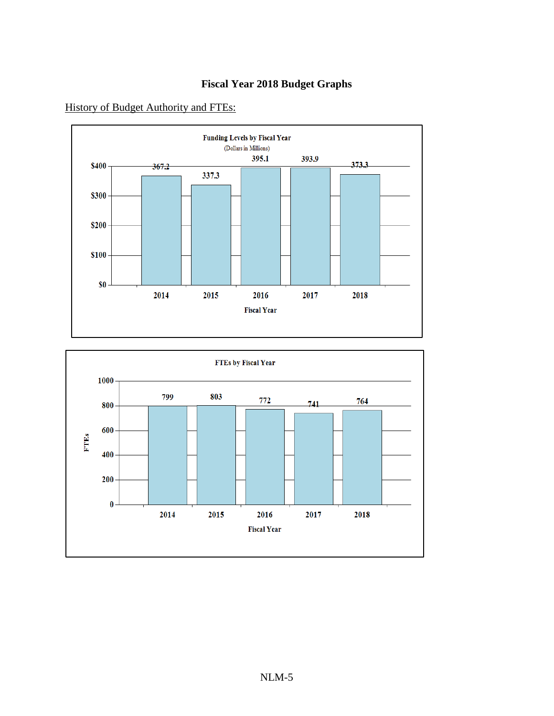



History of Budget Authority and FTEs:

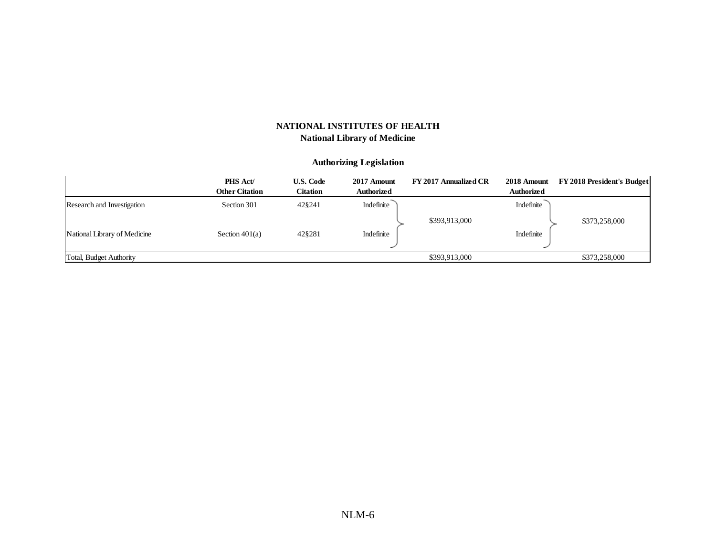#### **Authorizing Legislation**

|                              | <b>PHS Act/</b>       | <b>U.S. Code</b> | 2017 Amount       | FY 2017 Annualized CR | 2018 Amount       | <b>FY 2018 President's Budget</b> |
|------------------------------|-----------------------|------------------|-------------------|-----------------------|-------------------|-----------------------------------|
|                              | <b>Other Citation</b> | Citation         | <b>Authorized</b> |                       | <b>Authorized</b> |                                   |
| Research and Investigation   | Section 301           | 42§241           | Indefinite        |                       | Indefinite        |                                   |
|                              |                       |                  |                   | \$393,913,000         |                   | \$373,258,000                     |
| National Library of Medicine | Section $401(a)$      | 42§281           | Indefinite        |                       | Indefinite        |                                   |
|                              |                       |                  |                   |                       |                   |                                   |
| Total, Budget Authority      |                       |                  |                   | \$393,913,000         |                   | \$373,258,000                     |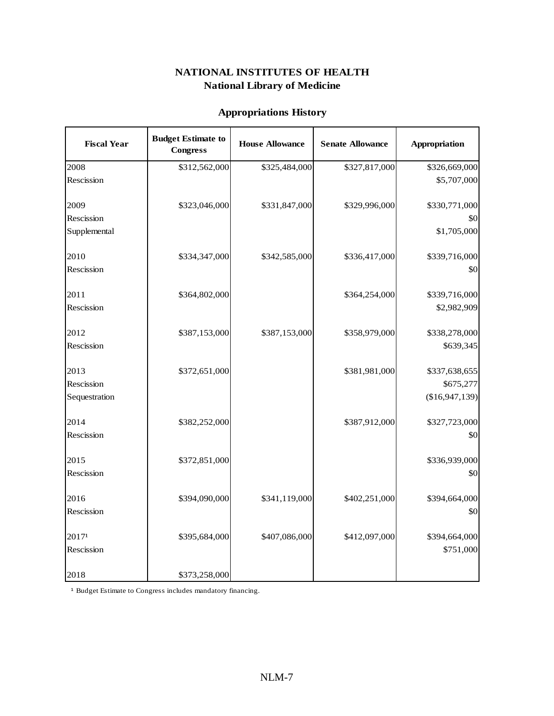## **Appropriations History**

| <b>Fiscal Year</b>                  | <b>Budget Estimate to</b><br><b>Congress</b> | <b>House Allowance</b> | <b>Senate Allowance</b> | <b>Appropriation</b>                                 |
|-------------------------------------|----------------------------------------------|------------------------|-------------------------|------------------------------------------------------|
| 2008                                | \$312,562,000                                | \$325,484,000          | \$327,817,000           | \$326,669,000                                        |
| Rescission                          |                                              |                        |                         | \$5,707,000                                          |
| 2009<br>Rescission<br>Supplemental  | \$323,046,000                                | \$331,847,000          | \$329,996,000           | \$330,771,000<br>\$0<br>\$1,705,000                  |
| 2010<br>Rescission                  | \$334,347,000                                | \$342,585,000          | \$336,417,000           | \$339,716,000<br>\$0                                 |
| 2011<br>Rescission                  | \$364,802,000                                |                        | \$364,254,000           | \$339,716,000<br>\$2,982,909                         |
| 2012<br>Rescission                  | \$387,153,000                                | \$387,153,000          | \$358,979,000           | \$338,278,000<br>\$639,345                           |
| 2013<br>Rescission<br>Sequestration | \$372,651,000                                |                        | \$381,981,000           | \$337,638,655<br>\$675,277<br>(\$16,947,139)         |
| 2014<br>Rescission                  | \$382,252,000                                |                        | \$387,912,000           | \$327,723,000<br>$\vert \mathbf{S} \mathbf{O} \vert$ |
| 2015<br>Rescission                  | \$372,851,000                                |                        |                         | \$336,939,000<br>$\vert \mathbf{S} \mathbf{O} \vert$ |
| 2016<br>Rescission                  | \$394,090,000                                | \$341,119,000          | \$402,251,000           | \$394,664,000<br>\$0                                 |
| 20171<br>Rescission                 | \$395,684,000                                | \$407,086,000          | \$412,097,000           | \$394,664,000<br>\$751,000                           |
| 2018                                | \$373,258,000                                |                        |                         |                                                      |

<sup>1</sup> Budget Estimate to Congress includes mandatory financing.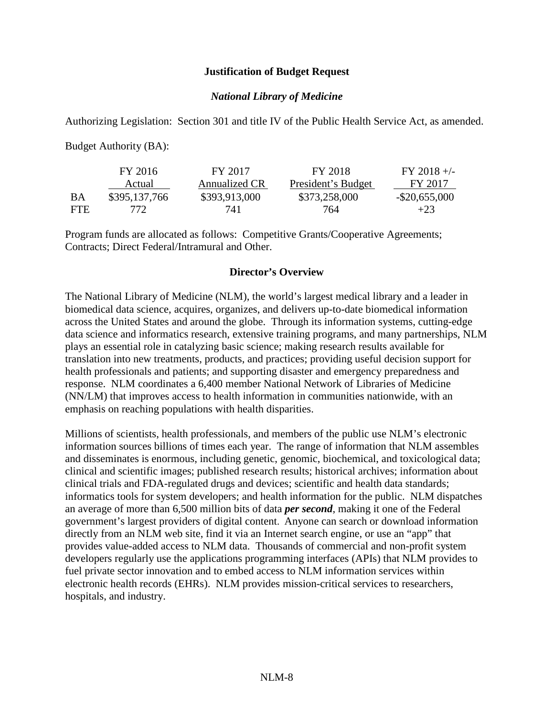#### **Justification of Budget Request**

### *National Library of Medicine*

Authorizing Legislation: Section 301 and title IV of the Public Health Service Act, as amended.

Budget Authority (BA):

|      | FY 2016       | FY 2017       | FY 2018            | $FY 2018 +/-$    |
|------|---------------|---------------|--------------------|------------------|
|      | Actual        | Annualized CR | President's Budget | FY 2017          |
| BA   | \$395,137,766 | \$393,913,000 | \$373,258,000      | $-$ \$20,655,000 |
| FTE. | 772.          | 741           | 764                | $+23$            |

Program funds are allocated as follows: Competitive Grants/Cooperative Agreements; Contracts; Direct Federal/Intramural and Other.

#### **Director's Overview**

The National Library of Medicine (NLM), the world's largest medical library and a leader in biomedical data science, acquires, organizes, and delivers up-to-date biomedical information across the United States and around the globe. Through its information systems, cutting-edge data science and informatics research, extensive training programs, and many partnerships, NLM plays an essential role in catalyzing basic science; making research results available for translation into new treatments, products, and practices; providing useful decision support for health professionals and patients; and supporting disaster and emergency preparedness and response. NLM coordinates a 6,400 member National Network of Libraries of Medicine (NN/LM) that improves access to health information in communities nationwide, with an emphasis on reaching populations with health disparities.

Millions of scientists, health professionals, and members of the public use NLM's electronic information sources billions of times each year. The range of information that NLM assembles and disseminates is enormous, including genetic, genomic, biochemical, and toxicological data; clinical and scientific images; published research results; historical archives; information about clinical trials and FDA-regulated drugs and devices; scientific and health data standards; informatics tools for system developers; and health information for the public. NLM dispatches an average of more than 6,500 million bits of data *per second*, making it one of the Federal government's largest providers of digital content. Anyone can search or download information directly from an NLM web site, find it via an Internet search engine, or use an "app" that provides value-added access to NLM data. Thousands of commercial and non-profit system developers regularly use the applications programming interfaces (APIs) that NLM provides to fuel private sector innovation and to embed access to NLM information services within electronic health records (EHRs). NLM provides mission-critical services to researchers, hospitals, and industry.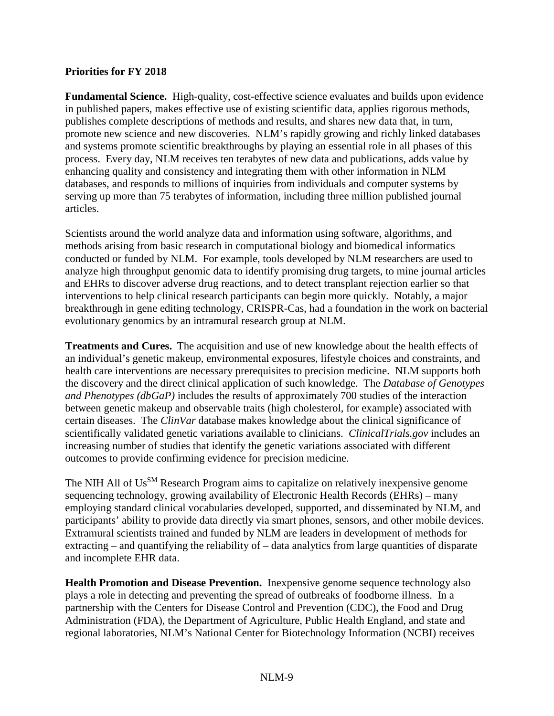### **Priorities for FY 2018**

**Fundamental Science.** High-quality, cost-effective science evaluates and builds upon evidence in published papers, makes effective use of existing scientific data, applies rigorous methods, publishes complete descriptions of methods and results, and shares new data that, in turn, promote new science and new discoveries. NLM's rapidly growing and richly linked databases and systems promote scientific breakthroughs by playing an essential role in all phases of this process. Every day, NLM receives ten terabytes of new data and publications, adds value by enhancing quality and consistency and integrating them with other information in NLM databases, and responds to millions of inquiries from individuals and computer systems by serving up more than 75 terabytes of information, including three million published journal articles.

Scientists around the world analyze data and information using software, algorithms, and methods arising from basic research in computational biology and biomedical informatics conducted or funded by NLM. For example, tools developed by NLM researchers are used to analyze high throughput genomic data to identify promising drug targets, to mine journal articles and EHRs to discover adverse drug reactions, and to detect transplant rejection earlier so that interventions to help clinical research participants can begin more quickly. Notably, a major breakthrough in gene editing technology, CRISPR-Cas, had a foundation in the work on bacterial evolutionary genomics by an intramural research group at NLM.

**Treatments and Cures.** The acquisition and use of new knowledge about the health effects of an individual's genetic makeup, environmental exposures, lifestyle choices and constraints, and health care interventions are necessary prerequisites to precision medicine. NLM supports both the discovery and the direct clinical application of such knowledge. The *Database of Genotypes and Phenotypes (dbGaP)* includes the results of approximately 700 studies of the interaction between genetic makeup and observable traits (high cholesterol, for example) associated with certain diseases. The *ClinVar* database makes knowledge about the clinical significance of scientifically validated genetic variations available to clinicians. *ClinicalTrials.gov* includes an increasing number of studies that identify the genetic variations associated with different outcomes to provide confirming evidence for precision medicine.

The NIH All of Us<sup>SM</sup> Research Program aims to capitalize on relatively inexpensive genome sequencing technology, growing availability of Electronic Health Records (EHRs) – many employing standard clinical vocabularies developed, supported, and disseminated by NLM, and participants' ability to provide data directly via smart phones, sensors, and other mobile devices. Extramural scientists trained and funded by NLM are leaders in development of methods for extracting – and quantifying the reliability of – data analytics from large quantities of disparate and incomplete EHR data.

**Health Promotion and Disease Prevention.** Inexpensive genome sequence technology also plays a role in detecting and preventing the spread of outbreaks of foodborne illness. In a partnership with the Centers for Disease Control and Prevention (CDC), the Food and Drug Administration (FDA), the Department of Agriculture, Public Health England, and state and regional laboratories, NLM's National Center for Biotechnology Information (NCBI) receives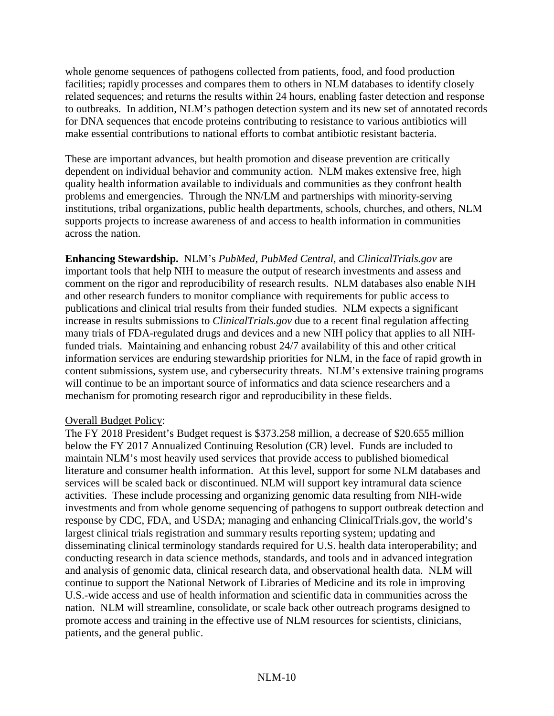whole genome sequences of pathogens collected from patients, food, and food production facilities; rapidly processes and compares them to others in NLM databases to identify closely related sequences; and returns the results within 24 hours, enabling faster detection and response to outbreaks. In addition, NLM's pathogen detection system and its new set of annotated records for DNA sequences that encode proteins contributing to resistance to various antibiotics will make essential contributions to national efforts to combat antibiotic resistant bacteria.

These are important advances, but health promotion and disease prevention are critically dependent on individual behavior and community action. NLM makes extensive free, high quality health information available to individuals and communities as they confront health problems and emergencies. Through the NN/LM and partnerships with minority-serving institutions, tribal organizations, public health departments, schools, churches, and others, NLM supports projects to increase awareness of and access to health information in communities across the nation.

**Enhancing Stewardship.** NLM's *PubMed, PubMed Central,* and *ClinicalTrials.gov* are important tools that help NIH to measure the output of research investments and assess and comment on the rigor and reproducibility of research results. NLM databases also enable NIH and other research funders to monitor compliance with requirements for public access to publications and clinical trial results from their funded studies. NLM expects a significant increase in results submissions to *ClinicalTrials.gov* due to a recent final regulation affecting many trials of FDA-regulated drugs and devices and a new NIH policy that applies to all NIHfunded trials. Maintaining and enhancing robust 24/7 availability of this and other critical information services are enduring stewardship priorities for NLM, in the face of rapid growth in content submissions, system use, and cybersecurity threats. NLM's extensive training programs will continue to be an important source of informatics and data science researchers and a mechanism for promoting research rigor and reproducibility in these fields.

## Overall Budget Policy:

The FY 2018 President's Budget request is \$373.258 million, a decrease of \$20.655 million below the FY 2017 Annualized Continuing Resolution (CR) level. Funds are included to maintain NLM's most heavily used services that provide access to published biomedical literature and consumer health information. At this level, support for some NLM databases and services will be scaled back or discontinued. NLM will support key intramural data science activities. These include processing and organizing genomic data resulting from NIH-wide investments and from whole genome sequencing of pathogens to support outbreak detection and response by CDC, FDA, and USDA; managing and enhancing ClinicalTrials.gov, the world's largest clinical trials registration and summary results reporting system; updating and disseminating clinical terminology standards required for U.S. health data interoperability; and conducting research in data science methods, standards, and tools and in advanced integration and analysis of genomic data, clinical research data, and observational health data. NLM will continue to support the National Network of Libraries of Medicine and its role in improving U.S.-wide access and use of health information and scientific data in communities across the nation. NLM will streamline, consolidate, or scale back other outreach programs designed to promote access and training in the effective use of NLM resources for scientists, clinicians, patients, and the general public.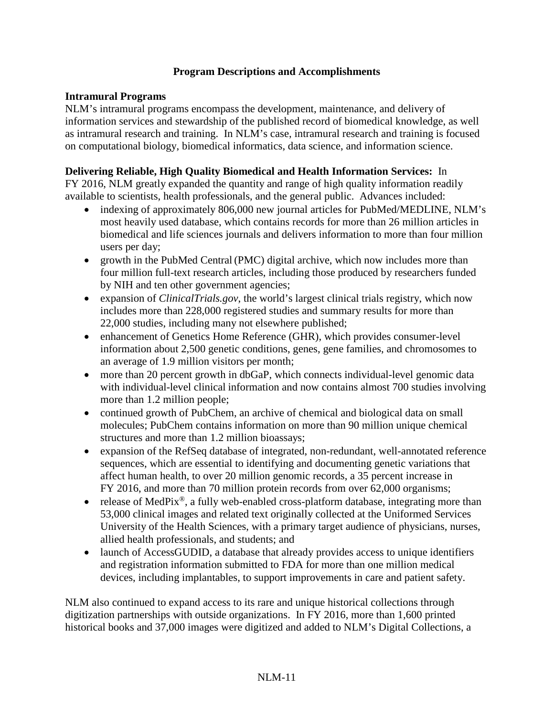## **Program Descriptions and Accomplishments**

## **Intramural Programs**

NLM's intramural programs encompass the development, maintenance, and delivery of information services and stewardship of the published record of biomedical knowledge, as well as intramural research and training. In NLM's case, intramural research and training is focused on computational biology, biomedical informatics, data science, and information science.

### **Delivering Reliable, High Quality Biomedical and Health Information Services:** In

FY 2016, NLM greatly expanded the quantity and range of high quality information readily available to scientists, health professionals, and the general public. Advances included:

- indexing of approximately 806,000 new journal articles for PubMed/MEDLINE, NLM's most heavily used database, which contains records for more than 26 million articles in biomedical and life sciences journals and delivers information to more than four million users per day;
- growth in the PubMed Central (PMC) digital archive, which now includes more than four million full-text research articles, including those produced by researchers funded by NIH and ten other government agencies;
- expansion of *ClinicalTrials.gov*, the world's largest clinical trials registry, which now includes more than 228,000 registered studies and summary results for more than 22,000 studies, including many not elsewhere published;
- enhancement of Genetics Home Reference (GHR), which provides consumer-level information about 2,500 genetic conditions, genes, gene families, and chromosomes to an average of 1.9 million visitors per month;
- more than 20 percent growth in dbGaP, which connects individual-level genomic data with individual-level clinical information and now contains almost 700 studies involving more than 1.2 million people;
- continued growth of PubChem, an archive of chemical and biological data on small molecules; PubChem contains information on more than 90 million unique chemical structures and more than 1.2 million bioassays;
- expansion of the RefSeq database of integrated, non-redundant, well-annotated reference sequences, which are essential to identifying and documenting genetic variations that affect human health, to over 20 million genomic records, a 35 percent increase in FY 2016, and more than 70 million protein records from over 62,000 organisms;
- release of MedPix<sup>®</sup>, a fully web-enabled cross-platform database, integrating more than 53,000 clinical images and related text originally collected at the Uniformed Services University of the Health Sciences, with a primary target audience of physicians, nurses, allied health professionals, and students; and
- launch of AccessGUDID, a database that already provides access to unique identifiers and registration information submitted to FDA for more than one million medical devices, including implantables, to support improvements in care and patient safety.

NLM also continued to expand access to its rare and unique historical collections through digitization partnerships with outside organizations. In FY 2016, more than 1,600 printed historical books and 37,000 images were digitized and added to NLM's [Digital Collections,](http://collections.nlm.nih.gov/) a

#### NLM-11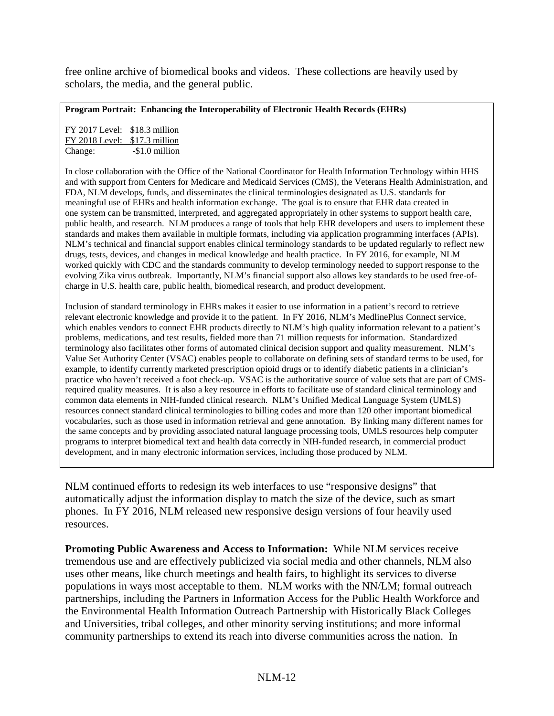free online archive of biomedical books and videos. These collections are heavily used by scholars, the media, and the general public.

**Program Portrait: Enhancing the Interoperability of Electronic Health Records (EHRs)**

FY 2017 Level: \$18.3 million FY 2018 Level: \$17.3 million Change: -\$1.0 million

In close collaboration with the Office of the National Coordinator for Health Information Technology within HHS and with support from Centers for Medicare and Medicaid Services (CMS), the Veterans Health Administration, and FDA, NLM develops, funds, and disseminates the clinical terminologies designated as U.S. standards for meaningful use of EHRs and health information exchange. The goal is to ensure that EHR data created in one system can be transmitted, interpreted, and aggregated appropriately in other systems to support health care, public health, and research. NLM produces a range of tools that help EHR developers and users to implement these standards and makes them available in multiple formats, including via application programming interfaces (APIs). NLM's technical and financial support enables clinical terminology standards to be updated regularly to reflect new drugs, tests, devices, and changes in medical knowledge and health practice. In FY 2016, for example, NLM worked quickly with CDC and the standards community to develop terminology needed to support response to the evolving Zika virus outbreak. Importantly, NLM's financial support also allows key standards to be used free-ofcharge in U.S. health care, public health, biomedical research, and product development.

Inclusion of standard terminology in EHRs makes it easier to use information in a patient's record to retrieve relevant electronic knowledge and provide it to the patient. In FY 2016, NLM's MedlinePlus Connect service, which enables vendors to connect EHR products directly to NLM's high quality information relevant to a patient's problems, medications, and test results, fielded more than 71 million requests for information. Standardized terminology also facilitates other forms of automated clinical decision support and quality measurement. NLM's Value Set Authority Center (VSAC) enables people to collaborate on defining sets of standard terms to be used, for example, to identify currently marketed prescription opioid drugs or to identify diabetic patients in a clinician's practice who haven't received a foot check-up. VSAC is the authoritative source of value sets that are part of CMSrequired quality measures. It is also a key resource in efforts to facilitate use of standard clinical terminology and common data elements in NIH-funded clinical research. NLM's Unified Medical Language System (UMLS) resources connect standard clinical terminologies to billing codes and more than 120 other important biomedical vocabularies, such as those used in information retrieval and gene annotation. By linking many different names for the same concepts and by providing associated natural language processing tools, UMLS resources help computer programs to interpret biomedical text and health data correctly in NIH-funded research, in commercial product development, and in many electronic information services, including those produced by NLM.

NLM continued efforts to redesign its web interfaces to use "responsive designs" that automatically adjust the information display to match the size of the device, such as smart phones. In FY 2016, NLM released new responsive design versions of four heavily used resources.

**Promoting Public Awareness and Access to Information:** While NLM services receive tremendous use and are effectively publicized via social media and other channels, NLM also uses other means, like church meetings and health fairs, to highlight its services to diverse populations in ways most acceptable to them. NLM works with the NN/LM; formal outreach partnerships, including the Partners in Information Access for the Public Health Workforce and the Environmental Health Information Outreach Partnership with Historically Black Colleges and Universities, tribal colleges, and other minority serving institutions; and more informal community partnerships to extend its reach into diverse communities across the nation. In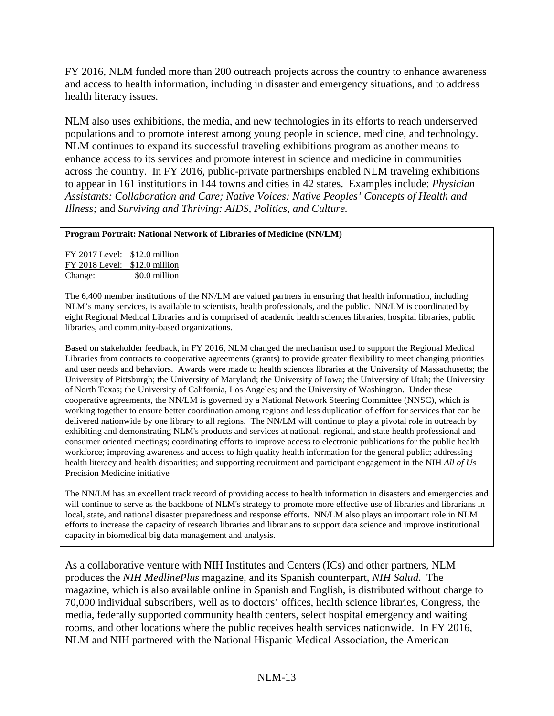FY 2016, NLM funded more than 200 outreach projects across the country to enhance awareness and access to health information, including in disaster and emergency situations, and to address health literacy issues.

NLM also uses exhibitions, the media, and new technologies in its efforts to reach underserved populations and to promote interest among young people in science, medicine, and technology. NLM continues to expand its successful traveling exhibitions program as another means to enhance access to its services and promote interest in science and medicine in communities across the country. In FY 2016, public-private partnerships enabled NLM traveling exhibitions to appear in 161 institutions in 144 towns and cities in 42 states. Examples include: *Physician Assistants: Collaboration and Care; Native Voices: Native Peoples' Concepts of Health and Illness;* and *Surviving and Thriving: AIDS, Politics, and Culture.*

#### **Program Portrait: National Network of Libraries of Medicine (NN/LM)**

FY 2017 Level: \$12.0 million FY 2018 Level: \$12.0 million Change: \$0.0 million

The 6,400 member institutions of the NN/LM are valued partners in ensuring that health information, including NLM's many services, is available to scientists, health professionals, and the public. NN/LM is coordinated by eight Regional Medical Libraries and is comprised of academic health sciences libraries, hospital libraries, public libraries, and community-based organizations.

Based on stakeholder feedback, in FY 2016, NLM changed the mechanism used to support the Regional Medical Libraries from contracts to cooperative agreements (grants) to provide greater flexibility to meet changing priorities and user needs and behaviors. Awards were made to health sciences libraries at the University of Massachusetts; the University of Pittsburgh; the University of Maryland; the University of Iowa; the University of Utah; the University of North Texas; the University of California, Los Angeles; and the University of Washington. Under these cooperative agreements, the NN/LM is governed by a National Network Steering Committee (NNSC), which is working together to ensure better coordination among regions and less duplication of effort for services that can be delivered nationwide by one library to all regions. The NN/LM will continue to play a pivotal role in outreach by exhibiting and demonstrating NLM's products and services at national, regional, and state health professional and consumer oriented meetings; coordinating efforts to improve access to electronic publications for the public health workforce; improving awareness and access to high quality health information for the general public; addressing health literacy and health disparities; and supporting recruitment and participant engagement in the NIH *All of Us*  Precision Medicine initiative

The NN/LM has an excellent track record of providing access to health information in disasters and emergencies and will continue to serve as the backbone of NLM's strategy to promote more effective use of libraries and librarians in local, state, and national disaster preparedness and response efforts. NN/LM also plays an important role in NLM efforts to increase the capacity of research libraries and librarians to support data science and improve institutional capacity in biomedical big data management and analysis.

As a collaborative venture with NIH Institutes and Centers (ICs) and other partners, NLM produces the *NIH MedlinePlus* magazine, and its Spanish counterpart, *NIH Salud*. The magazine, which is also available online in Spanish and English, is distributed without charge to 70,000 individual subscribers, well as to doctors' offices, health science libraries, Congress, the media, federally supported community health centers, select hospital emergency and waiting rooms, and other locations where the public receives health services nationwide. In FY 2016, NLM and NIH partnered with the National Hispanic Medical Association, the American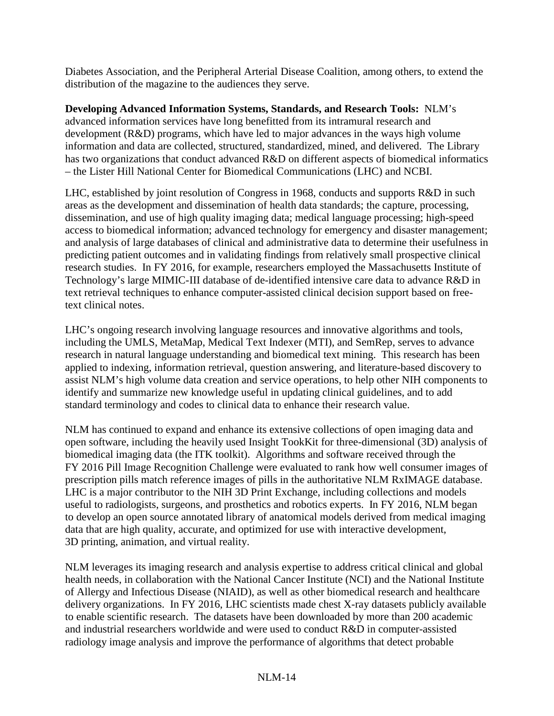Diabetes Association, and the Peripheral Arterial Disease Coalition, among others, to extend the distribution of the magazine to the audiences they serve.

**Developing Advanced Information Systems, Standards, and Research Tools:** NLM's advanced information services have long benefitted from its intramural research and development (R&D) programs, which have led to major advances in the ways high volume information and data are collected, structured, standardized, mined, and delivered. The Library has two organizations that conduct advanced R&D on different aspects of biomedical informatics – the Lister Hill National Center for Biomedical Communications (LHC) and NCBI.

LHC, established by joint resolution of Congress in 1968, conducts and supports R&D in such areas as the development and dissemination of health data standards; the capture, processing, dissemination, and use of high quality imaging data; medical language processing; high-speed access to biomedical information; advanced technology for emergency and disaster management; and analysis of large databases of clinical and administrative data to determine their usefulness in predicting patient outcomes and in validating findings from relatively small prospective clinical research studies. In FY 2016, for example, researchers employed the Massachusetts Institute of Technology's large MIMIC-III database of de-identified intensive care data to advance R&D in text retrieval techniques to enhance computer-assisted clinical decision support based on freetext clinical notes.

LHC's ongoing research involving language resources and innovative algorithms and tools, including the UMLS, MetaMap, Medical Text Indexer (MTI), and SemRep, serves to advance research in natural language understanding and biomedical text mining. This research has been applied to indexing, information retrieval, question answering, and literature-based discovery to assist NLM's high volume data creation and service operations, to help other NIH components to identify and summarize new knowledge useful in updating clinical guidelines, and to add standard terminology and codes to clinical data to enhance their research value.

NLM has continued to expand and enhance its extensive collections of open imaging data and open software, including the heavily used Insight TookKit for three-dimensional (3D) analysis of biomedical imaging data (the ITK toolkit). Algorithms and software received through the FY 2016 Pill Image Recognition Challenge were evaluated to rank how well consumer images of prescription pills match reference images of pills in the authoritative NLM RxIMAGE database. LHC is a major contributor to the NIH 3D Print Exchange, including collections and models useful to radiologists, surgeons, and prosthetics and robotics experts. In FY 2016, NLM began to develop an open source annotated library of anatomical models derived from medical imaging data that are high quality, accurate, and optimized for use with interactive development, 3D printing, animation, and virtual reality.

NLM leverages its imaging research and analysis expertise to address critical clinical and global health needs, in collaboration with the National Cancer Institute (NCI) and the National Institute of Allergy and Infectious Disease (NIAID), as well as other biomedical research and healthcare delivery organizations. In FY 2016, LHC scientists made chest X-ray datasets publicly available to enable scientific research. The datasets have been downloaded by more than 200 academic and industrial researchers worldwide and were used to conduct R&D in computer-assisted radiology image analysis and improve the performance of algorithms that detect probable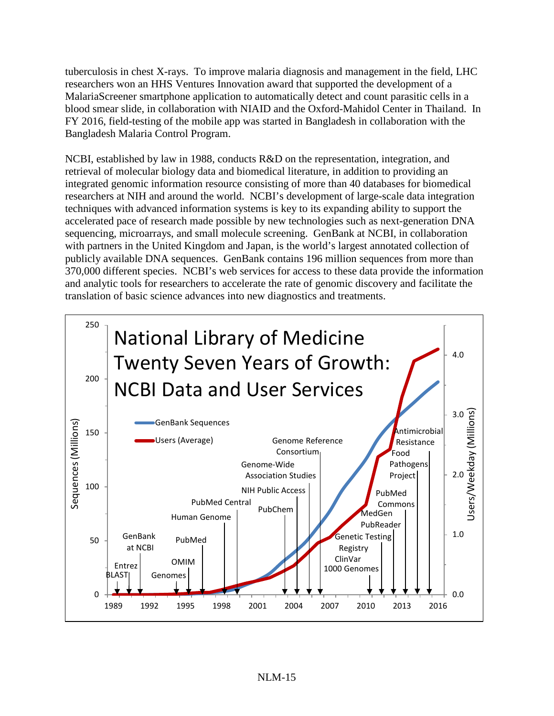tuberculosis in chest X-rays. To improve malaria diagnosis and management in the field, LHC researchers won an HHS Ventures Innovation award that supported the development of a MalariaScreener smartphone application to automatically detect and count parasitic cells in a blood smear slide, in collaboration with NIAID and the Oxford-Mahidol Center in Thailand. In FY 2016, field-testing of the mobile app was started in Bangladesh in collaboration with the Bangladesh Malaria Control Program.

NCBI, established by law in 1988, conducts R&D on the representation, integration, and retrieval of molecular biology data and biomedical literature, in addition to providing an integrated genomic information resource consisting of more than 40 databases for biomedical researchers at NIH and around the world. NCBI's development of large-scale data integration techniques with advanced information systems is key to its expanding ability to support the accelerated pace of research made possible by new technologies such as next-generation DNA sequencing, microarrays, and small molecule screening. GenBank at NCBI, in collaboration with partners in the United Kingdom and Japan, is the world's largest annotated collection of publicly available DNA sequences. GenBank contains 196 million sequences from more than 370,000 different species. NCBI's web services for access to these data provide the information and analytic tools for researchers to accelerate the rate of genomic discovery and facilitate the translation of basic science advances into new diagnostics and treatments.

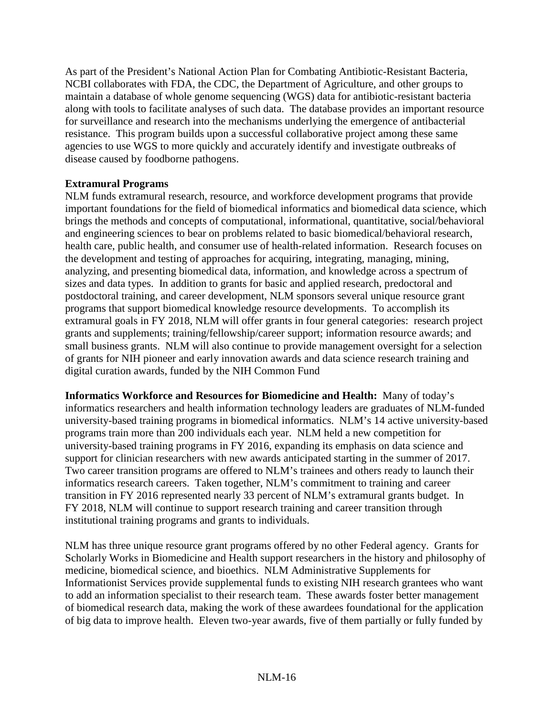As part of the President's National Action Plan for Combating Antibiotic-Resistant Bacteria, NCBI collaborates with FDA, the CDC, the Department of Agriculture, and other groups to maintain a database of whole genome sequencing (WGS) data for antibiotic-resistant bacteria along with tools to facilitate analyses of such data. The database provides an important resource for surveillance and research into the mechanisms underlying the emergence of antibacterial resistance. This program builds upon a successful collaborative project among these same agencies to use WGS to more quickly and accurately identify and investigate outbreaks of disease caused by foodborne pathogens.

### **Extramural Programs**

NLM funds extramural research, resource, and workforce development programs that provide important foundations for the field of biomedical informatics and biomedical data science, which brings the methods and concepts of computational, informational, quantitative, social/behavioral and engineering sciences to bear on problems related to basic biomedical/behavioral research, health care, public health, and consumer use of health-related information. Research focuses on the development and testing of approaches for acquiring, integrating, managing, mining, analyzing, and presenting biomedical data, information, and knowledge across a spectrum of sizes and data types. In addition to grants for basic and applied research, predoctoral and postdoctoral training, and career development, NLM sponsors several unique resource grant programs that support biomedical knowledge resource developments. To accomplish its extramural goals in FY 2018, NLM will offer grants in four general categories: research project grants and supplements; training/fellowship/career support; information resource awards; and small business grants. NLM will also continue to provide management oversight for a selection of grants for NIH pioneer and early innovation awards and data science research training and digital curation awards, funded by the NIH Common Fund

**Informatics Workforce and Resources for Biomedicine and Health:** Many of today's informatics researchers and health information technology leaders are graduates of NLM-funded university-based training programs in biomedical informatics. NLM's 14 active university-based programs train more than 200 individuals each year. NLM held a new competition for university-based training programs in FY 2016, expanding its emphasis on data science and support for clinician researchers with new awards anticipated starting in the summer of 2017. Two career transition programs are offered to NLM's trainees and others ready to launch their informatics research careers. Taken together, NLM's commitment to training and career transition in FY 2016 represented nearly 33 percent of NLM's extramural grants budget. In FY 2018, NLM will continue to support research training and career transition through institutional training programs and grants to individuals.

NLM has three unique resource grant programs offered by no other Federal agency. Grants for Scholarly Works in Biomedicine and Health support researchers in the history and philosophy of medicine, biomedical science, and bioethics. NLM Administrative Supplements for Informationist Services provide supplemental funds to existing NIH research grantees who want to add an information specialist to their research team. These awards foster better management of biomedical research data, making the work of these awardees foundational for the application of big data to improve health. Eleven two-year awards, five of them partially or fully funded by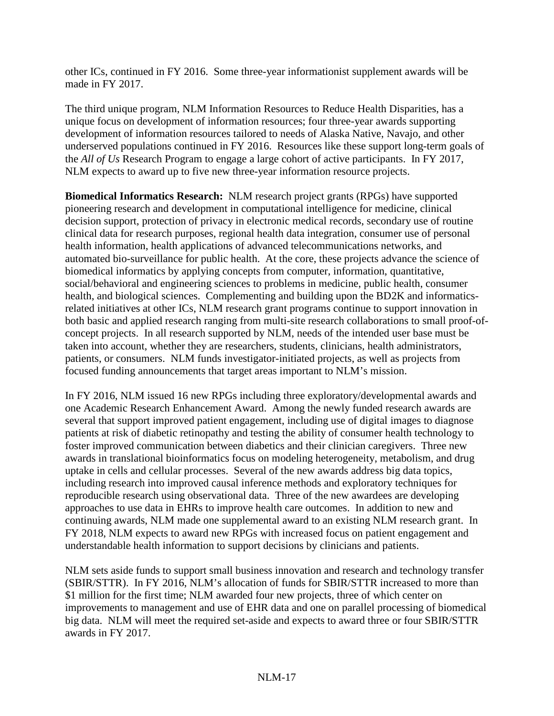other ICs, continued in FY 2016. Some three-year informationist supplement awards will be made in FY 2017.

The third unique program, NLM Information Resources to Reduce Health Disparities, has a unique focus on development of information resources; four three-year awards supporting development of information resources tailored to needs of Alaska Native, Navajo, and other underserved populations continued in FY 2016. Resources like these support long-term goals of the *All of Us* Research Program to engage a large cohort of active participants. In FY 2017, NLM expects to award up to five new three-year information resource projects.

**Biomedical Informatics Research:** NLM research project grants (RPGs) have supported pioneering research and development in computational intelligence for medicine, clinical decision support, protection of privacy in electronic medical records, secondary use of routine clinical data for research purposes, regional health data integration, consumer use of personal health information, health applications of advanced telecommunications networks, and automated bio-surveillance for public health. At the core, these projects advance the science of biomedical informatics by applying concepts from computer, information, quantitative, social/behavioral and engineering sciences to problems in medicine, public health, consumer health, and biological sciences. Complementing and building upon the BD2K and informaticsrelated initiatives at other ICs, NLM research grant programs continue to support innovation in both basic and applied research ranging from multi-site research collaborations to small proof-ofconcept projects. In all research supported by NLM, needs of the intended user base must be taken into account, whether they are researchers, students, clinicians, health administrators, patients, or consumers. NLM funds investigator-initiated projects, as well as projects from focused funding announcements that target areas important to NLM's mission.

In FY 2016, NLM issued 16 new RPGs including three exploratory/developmental awards and one Academic Research Enhancement Award. Among the newly funded research awards are several that support improved patient engagement, including use of digital images to diagnose patients at risk of diabetic retinopathy and testing the ability of consumer health technology to foster improved communication between diabetics and their clinician caregivers. Three new awards in translational bioinformatics focus on modeling heterogeneity, metabolism, and drug uptake in cells and cellular processes. Several of the new awards address big data topics, including research into improved causal inference methods and exploratory techniques for reproducible research using observational data. Three of the new awardees are developing approaches to use data in EHRs to improve health care outcomes. In addition to new and continuing awards, NLM made one supplemental award to an existing NLM research grant. In FY 2018, NLM expects to award new RPGs with increased focus on patient engagement and understandable health information to support decisions by clinicians and patients.

NLM sets aside funds to support small business innovation and research and technology transfer (SBIR/STTR). In FY 2016, NLM's allocation of funds for SBIR/STTR increased to more than \$1 million for the first time; NLM awarded four new projects, three of which center on improvements to management and use of EHR data and one on parallel processing of biomedical big data. NLM will meet the required set-aside and expects to award three or four SBIR/STTR awards in FY 2017.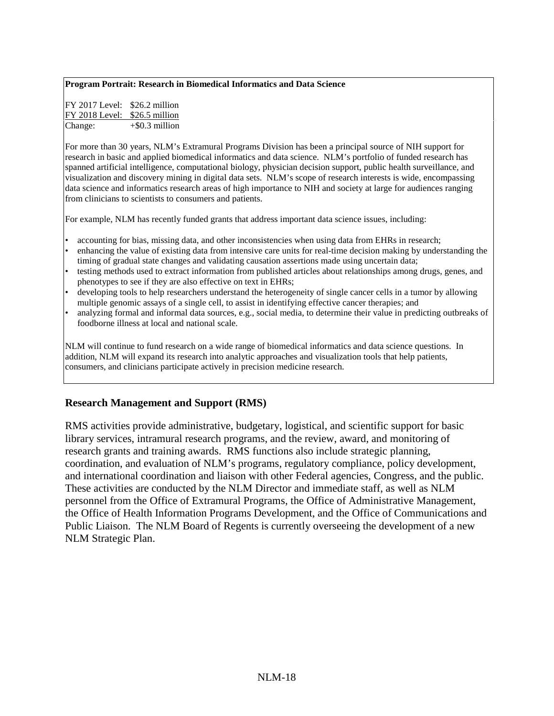#### **Program Portrait: Research in Biomedical Informatics and Data Science**

| FY 2017 Level: \$26.2 million |                   |
|-------------------------------|-------------------|
| FY 2018 Level: \$26.5 million |                   |
| Change:                       | $+$ \$0.3 million |

For more than 30 years, NLM's Extramural Programs Division has been a principal source of NIH support for research in basic and applied biomedical informatics and data science. NLM's portfolio of funded research has spanned artificial intelligence, computational biology, physician decision support, public health surveillance, and visualization and discovery mining in digital data sets. NLM's scope of research interests is wide, encompassing data science and informatics research areas of high importance to NIH and society at large for audiences ranging from clinicians to scientists to consumers and patients.

For example, NLM has recently funded grants that address important data science issues, including:

- accounting for bias, missing data, and other inconsistencies when using data from EHRs in research;
- enhancing the value of existing data from intensive care units for real-time decision making by understanding the timing of gradual state changes and validating causation assertions made using uncertain data;
- testing methods used to extract information from published articles about relationships among drugs, genes, and phenotypes to see if they are also effective on text in EHRs;
- developing tools to help researchers understand the heterogeneity of single cancer cells in a tumor by allowing multiple genomic assays of a single cell, to assist in identifying effective cancer therapies; and
- analyzing formal and informal data sources, e.g., social media, to determine their value in predicting outbreaks of foodborne illness at local and national scale.

NLM will continue to fund research on a wide range of biomedical informatics and data science questions. In addition, NLM will expand its research into analytic approaches and visualization tools that help patients, consumers, and clinicians participate actively in precision medicine research.

#### **Research Management and Support (RMS)**

RMS activities provide administrative, budgetary, logistical, and scientific support for basic library services, intramural research programs, and the review, award, and monitoring of research grants and training awards. RMS functions also include strategic planning, coordination, and evaluation of NLM's programs, regulatory compliance, policy development, and international coordination and liaison with other Federal agencies, Congress, and the public. These activities are conducted by the NLM Director and immediate staff, as well as NLM personnel from the Office of Extramural Programs, the Office of Administrative Management, the Office of Health Information Programs Development, and the Office of Communications and Public Liaison. The NLM Board of Regents is currently overseeing the development of a new NLM Strategic Plan.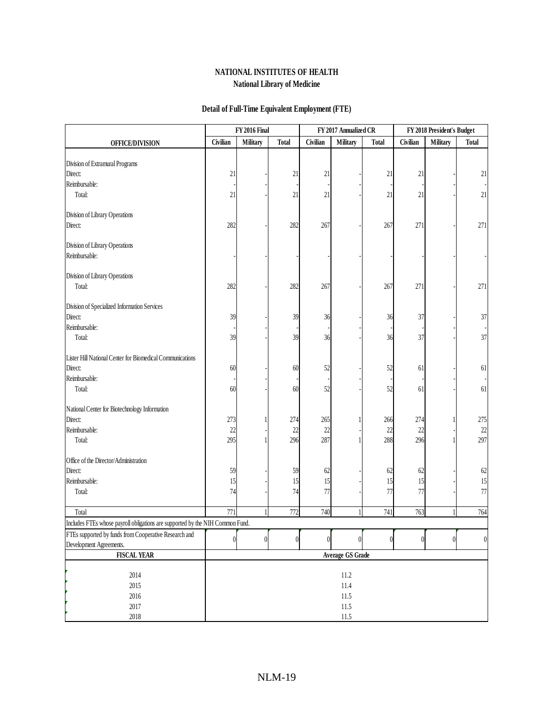#### **Detail of Full-Time Equivalent Employment (FTE)**

|                                                                               | <b>FY 2016 Final</b><br>FY 2017 Annualized CR |                 | FY 2018 President's Budget |          |              |                |                |                |                  |
|-------------------------------------------------------------------------------|-----------------------------------------------|-----------------|----------------------------|----------|--------------|----------------|----------------|----------------|------------------|
| <b>OFFICE/DIVISION</b>                                                        | Civilian                                      | <b>Military</b> | <b>Total</b>               | Civilian | Military     | <b>Total</b>   | Civilian       | Military       | <b>Total</b>     |
|                                                                               |                                               |                 |                            |          |              |                |                |                |                  |
| Division of Extramural Programs                                               |                                               |                 |                            |          |              |                |                |                |                  |
| Direct:                                                                       | 21                                            |                 | 21                         | 21       |              | 21             | 21             |                | 21               |
| Reimbursable:                                                                 |                                               |                 |                            |          |              |                |                |                |                  |
| Total:                                                                        | 21                                            |                 | 21                         | 21       |              | 21             | 21             |                | 21               |
| Division of Library Operations                                                |                                               |                 |                            |          |              |                |                |                |                  |
| Direct:                                                                       | 282                                           |                 | 282                        | 267      |              | 267            | 271            |                | 271              |
| Division of Library Operations                                                |                                               |                 |                            |          |              |                |                |                |                  |
| Reimbursable:                                                                 |                                               |                 |                            |          |              |                |                |                |                  |
| Division of Library Operations                                                |                                               |                 |                            |          |              |                |                |                |                  |
| Total:                                                                        | 282                                           |                 | 282                        | 267      |              | 267            | 271            |                | 271              |
| Division of Specialized Information Services                                  |                                               |                 |                            |          |              |                |                |                |                  |
| Direct:                                                                       | 39                                            |                 | 39                         | 36       |              | 36             | 37             |                | 37               |
| Reimbursable:                                                                 |                                               |                 |                            |          |              |                |                |                |                  |
| Total:                                                                        | 39                                            |                 | 39                         | 36       |              | 36             | 37             |                | 37               |
| Lister Hill National Center for Biomedical Communications                     |                                               |                 |                            |          |              |                |                |                |                  |
| Direct:                                                                       | 60                                            |                 | 60                         | 52       |              | 52             | 61             |                | 61               |
| Reimbursable:                                                                 |                                               |                 |                            |          |              |                |                |                |                  |
| Total:                                                                        | 60                                            |                 | 60                         | 52       |              | 52             | 61             |                | 61               |
| National Center for Biotechnology Information                                 |                                               |                 |                            |          |              |                |                |                |                  |
| Direct:                                                                       | 273                                           |                 | 274                        | 265      |              | 266            | 274            |                | 275              |
| Reimbursable:                                                                 | 22                                            |                 | 22                         | 22       |              | 22             | 22             |                | 22               |
| Total:                                                                        | 295                                           |                 | 296                        | 287      |              | 288            | 296            |                | 297              |
| Office of the Director/Administration                                         |                                               |                 |                            |          |              |                |                |                |                  |
| Direct:                                                                       | 59                                            |                 | 59                         | 62       |              | 62             | 62             |                | 62               |
| Reimbursable:                                                                 | 15                                            |                 | 15                         | 15       |              | 15             | 15             |                | 15               |
| Total:                                                                        | 74                                            |                 | 74                         | 77       |              | 77             | 77             |                | 77               |
| Total                                                                         | 771                                           |                 | 772                        | 740      |              | 741            | 763            |                | 764              |
| Includes FTEs whose payroll obligations are supported by the NIH Common Fund. |                                               |                 |                            |          |              |                |                |                |                  |
| FTEs supported by funds from Cooperative Research and                         |                                               |                 |                            |          |              |                |                |                |                  |
| Development Agreements.                                                       | $\boldsymbol{0}$                              | 0               | $\boldsymbol{0}$           | $\theta$ | $\mathbf{0}$ | $\overline{0}$ | $\overline{0}$ | $\overline{0}$ | $\boldsymbol{0}$ |
| <b>FISCAL YEAR</b>                                                            | <b>Average GS Grade</b>                       |                 |                            |          |              |                |                |                |                  |
| 2014                                                                          | $11.2\,$                                      |                 |                            |          |              |                |                |                |                  |
| 2015                                                                          | 11.4                                          |                 |                            |          |              |                |                |                |                  |
| 2016                                                                          | $11.5\,$                                      |                 |                            |          |              |                |                |                |                  |
| 2017                                                                          | $11.5\,$                                      |                 |                            |          |              |                |                |                |                  |
| 2018                                                                          | $11.5\,$                                      |                 |                            |          |              |                |                |                |                  |